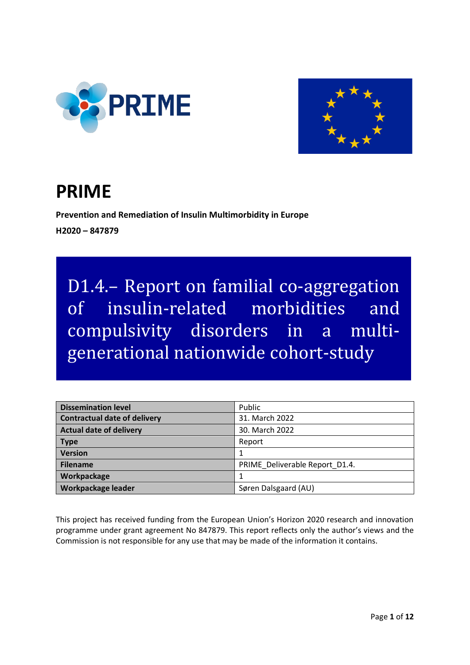



# **PRIME**

**Prevention and Remediation of Insulin Multimorbidity in Europe H2020 – 847879**

D1.4.– Report on familial co-aggregation of insulin-related morbidities and compulsivity disorders in a multigenerational nationwide cohort-study

| <b>Dissemination level</b>          | Public                         |
|-------------------------------------|--------------------------------|
| <b>Contractual date of delivery</b> | 31. March 2022                 |
| <b>Actual date of delivery</b>      | 30. March 2022                 |
| <b>Type</b>                         | Report                         |
| <b>Version</b>                      |                                |
| <b>Filename</b>                     | PRIME Deliverable Report D1.4. |
| Workpackage                         |                                |
| Workpackage leader                  | Søren Dalsgaard (AU)           |

This project has received funding from the European Union's Horizon 2020 research and innovation programme under grant agreement No 847879. This report reflects only the author's views and the Commission is not responsible for any use that may be made of the information it contains.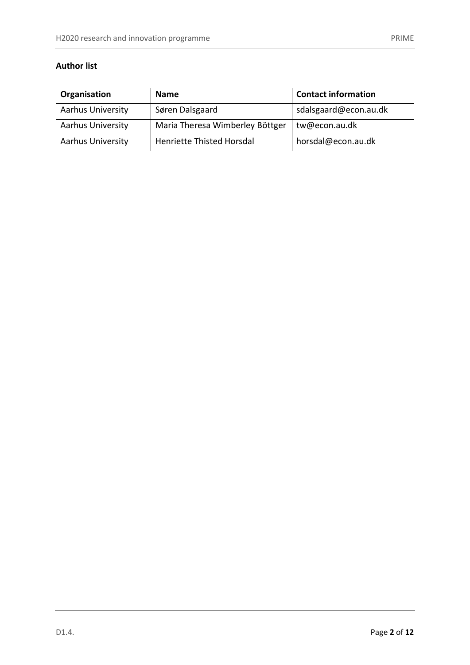## **Author list**

| Organisation             | <b>Name</b>                     | <b>Contact information</b> |
|--------------------------|---------------------------------|----------------------------|
| <b>Aarhus University</b> | Søren Dalsgaard                 | sdalsgaard@econ.au.dk      |
| <b>Aarhus University</b> | Maria Theresa Wimberley Böttger | tw@econ.au.dk              |
| <b>Aarhus University</b> | Henriette Thisted Horsdal       | horsdal@econ.au.dk         |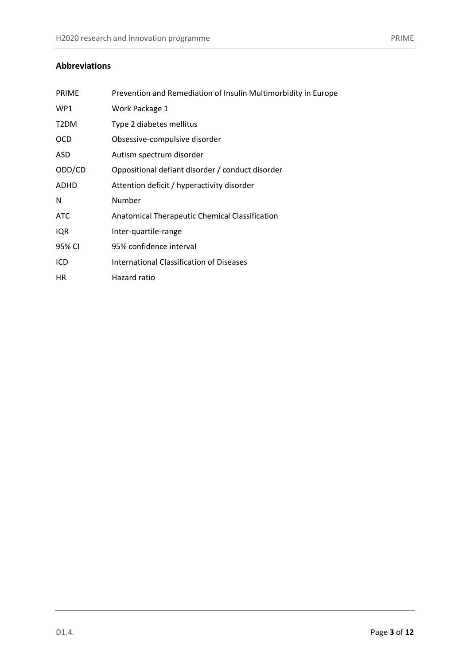| <b>PRIME</b>      | Prevention and Remediation of Insulin Multimorbidity in Europe |
|-------------------|----------------------------------------------------------------|
| WP1               | Work Package 1                                                 |
| T <sub>2</sub> DM | Type 2 diabetes mellitus                                       |
| <b>OCD</b>        | Obsessive-compulsive disorder                                  |
| ASD.              | Autism spectrum disorder                                       |
| ODD/CD            | Oppositional defiant disorder / conduct disorder               |
| ADHD              | Attention deficit / hyperactivity disorder                     |
| N                 | Number                                                         |
| <b>ATC</b>        | Anatomical Therapeutic Chemical Classification                 |
| IQR               | Inter-quartile-range                                           |
| 95% CI            | 95% confidence interval                                        |
| ICD               | <b>International Classification of Diseases</b>                |
| <b>HR</b>         | Hazard ratio                                                   |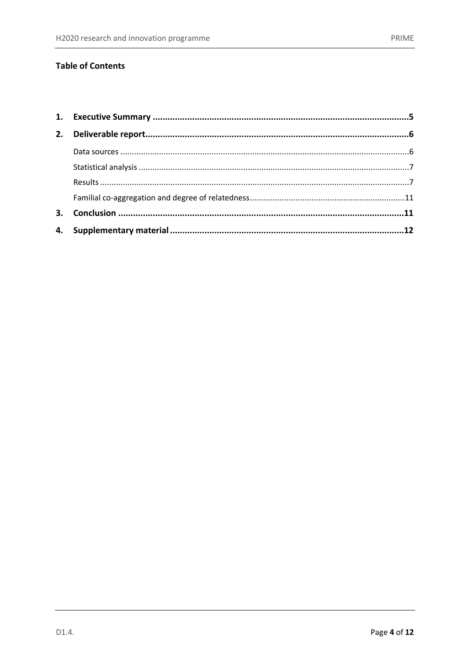## **Table of Contents**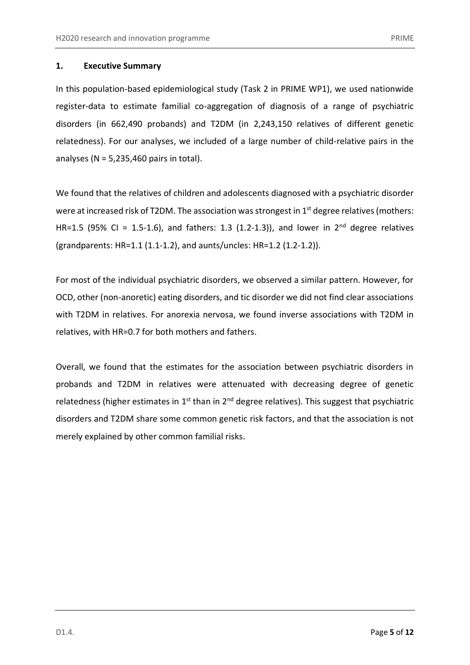## <span id="page-4-0"></span>**1. Executive Summary**

In this population-based epidemiological study (Task 2 in PRIME WP1), we used nationwide register-data to estimate familial co-aggregation of diagnosis of a range of psychiatric disorders (in 662,490 probands) and T2DM (in 2,243,150 relatives of different genetic relatedness). For our analyses, we included of a large number of child-relative pairs in the analyses ( $N = 5,235,460$  pairs in total).

We found that the relatives of children and adolescents diagnosed with a psychiatric disorder were at increased risk of T2DM. The association was strongest in 1<sup>st</sup> degree relatives (mothers: HR=1.5 (95% CI = 1.5-1.6), and fathers: 1.3 (1.2-1.3)), and lower in 2<sup>nd</sup> degree relatives (grandparents: HR=1.1 (1.1-1.2), and aunts/uncles: HR=1.2 (1.2-1.2)).

For most of the individual psychiatric disorders, we observed a similar pattern. However, for OCD, other (non-anoretic) eating disorders, and tic disorder we did not find clear associations with T2DM in relatives. For anorexia nervosa, we found inverse associations with T2DM in relatives, with HR=0.7 for both mothers and fathers.

Overall, we found that the estimates for the association between psychiatric disorders in probands and T2DM in relatives were attenuated with decreasing degree of genetic relatedness (higher estimates in 1<sup>st</sup> than in 2<sup>nd</sup> degree relatives). This suggest that psychiatric disorders and T2DM share some common genetic risk factors, and that the association is not merely explained by other common familial risks.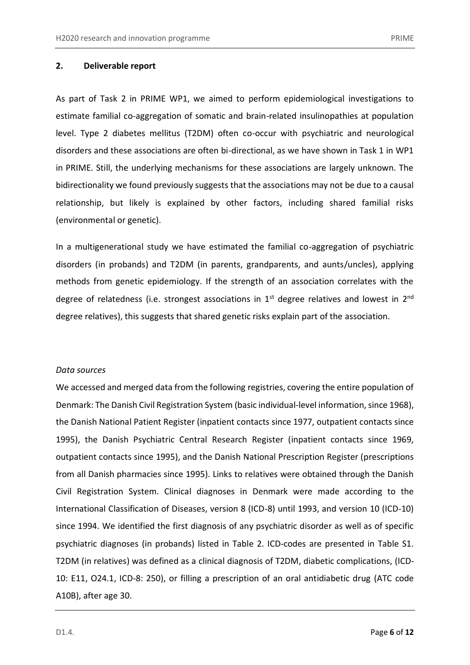#### <span id="page-5-0"></span>**2. Deliverable report**

As part of Task 2 in PRIME WP1, we aimed to perform epidemiological investigations to estimate familial co-aggregation of somatic and brain-related insulinopathies at population level. Type 2 diabetes mellitus (T2DM) often co-occur with psychiatric and neurological disorders and these associations are often bi-directional, as we have shown in Task 1 in WP1 in PRIME. Still, the underlying mechanisms for these associations are largely unknown. The bidirectionality we found previously suggests that the associations may not be due to a causal relationship, but likely is explained by other factors, including shared familial risks (environmental or genetic).

In a multigenerational study we have estimated the familial co-aggregation of psychiatric disorders (in probands) and T2DM (in parents, grandparents, and aunts/uncles), applying methods from genetic epidemiology. If the strength of an association correlates with the degree of relatedness (i.e. strongest associations in  $1<sup>st</sup>$  degree relatives and lowest in  $2<sup>nd</sup>$ degree relatives), this suggests that shared genetic risks explain part of the association.

#### <span id="page-5-1"></span>*Data sources*

We accessed and merged data from the following registries, covering the entire population of Denmark: The Danish Civil Registration System (basic individual-level information, since 1968), the Danish National Patient Register (inpatient contacts since 1977, outpatient contacts since 1995), the Danish Psychiatric Central Research Register (inpatient contacts since 1969, outpatient contacts since 1995), and the Danish National Prescription Register (prescriptions from all Danish pharmacies since 1995). Links to relatives were obtained through the Danish Civil Registration System. Clinical diagnoses in Denmark were made according to the International Classification of Diseases, version 8 (ICD-8) until 1993, and version 10 (ICD-10) since 1994. We identified the first diagnosis of any psychiatric disorder as well as of specific psychiatric diagnoses (in probands) listed in Table 2. ICD-codes are presented in Table S1. T2DM (in relatives) was defined as a clinical diagnosis of T2DM, diabetic complications, (ICD-10: E11, O24.1, ICD-8: 250), or filling a prescription of an oral antidiabetic drug (ATC code A10B), after age 30.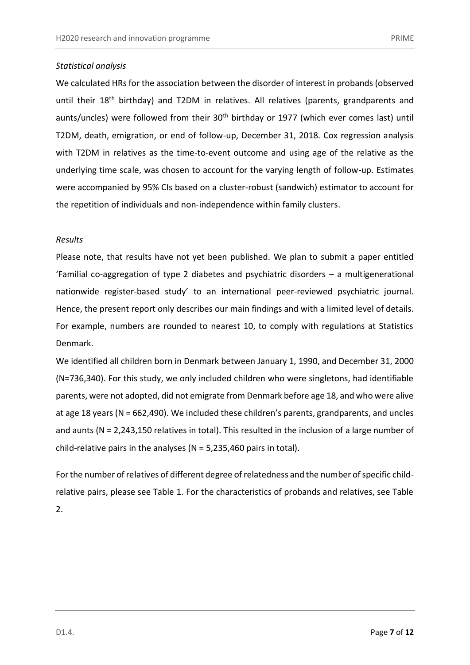## <span id="page-6-0"></span>*Statistical analysis*

We calculated HRs for the association between the disorder of interest in probands (observed until their 18<sup>th</sup> birthday) and T2DM in relatives. All relatives (parents, grandparents and aunts/uncles) were followed from their  $30<sup>th</sup>$  birthday or 1977 (which ever comes last) until T2DM, death, emigration, or end of follow-up, December 31, 2018. Cox regression analysis with T2DM in relatives as the time-to-event outcome and using age of the relative as the underlying time scale, was chosen to account for the varying length of follow-up. Estimates were accompanied by 95% CIs based on a cluster-robust (sandwich) estimator to account for the repetition of individuals and non-independence within family clusters.

#### <span id="page-6-1"></span>*Results*

Please note, that results have not yet been published. We plan to submit a paper entitled 'Familial co-aggregation of type 2 diabetes and psychiatric disorders – a multigenerational nationwide register-based study' to an international peer-reviewed psychiatric journal. Hence, the present report only describes our main findings and with a limited level of details. For example, numbers are rounded to nearest 10, to comply with regulations at Statistics Denmark.

We identified all children born in Denmark between January 1, 1990, and December 31, 2000 (N=736,340). For this study, we only included children who were singletons, had identifiable parents, were not adopted, did not emigrate from Denmark before age 18, and who were alive at age 18 years (N = 662,490). We included these children's parents, grandparents, and uncles and aunts (N = 2,243,150 relatives in total). This resulted in the inclusion of a large number of child-relative pairs in the analyses ( $N = 5,235,460$  pairs in total).

For the number of relatives of different degree of relatedness and the number of specific childrelative pairs, please see Table 1. For the characteristics of probands and relatives, see Table 2.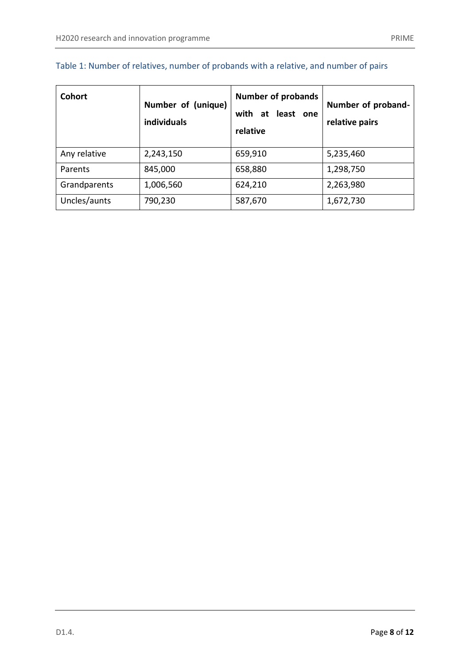| <b>Cohort</b> | Number of (unique)<br>individuals | <b>Number of probands</b><br>with<br>at least one<br>relative | Number of proband-<br>relative pairs |
|---------------|-----------------------------------|---------------------------------------------------------------|--------------------------------------|
| Any relative  | 2,243,150                         | 659,910                                                       | 5,235,460                            |
| Parents       | 845,000                           | 658,880                                                       | 1,298,750                            |
| Grandparents  | 1,006,560                         | 624,210                                                       | 2,263,980                            |
| Uncles/aunts  | 790,230                           | 587,670                                                       | 1,672,730                            |

# Table 1: Number of relatives, number of probands with a relative, and number of pairs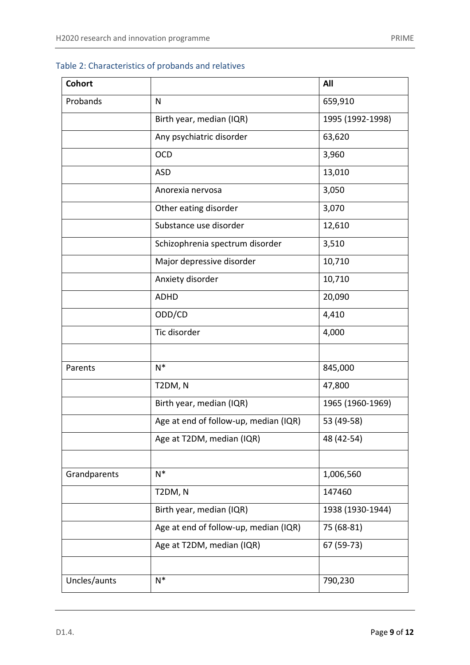# Table 2: Characteristics of probands and relatives

| <b>Cohort</b> |                                       | All              |
|---------------|---------------------------------------|------------------|
| Probands      | $\mathsf{N}$                          | 659,910          |
|               | Birth year, median (IQR)              | 1995 (1992-1998) |
|               | Any psychiatric disorder              | 63,620           |
|               | <b>OCD</b>                            | 3,960            |
|               | <b>ASD</b>                            | 13,010           |
|               | Anorexia nervosa                      | 3,050            |
|               | Other eating disorder                 | 3,070            |
|               | Substance use disorder                | 12,610           |
|               | Schizophrenia spectrum disorder       | 3,510            |
|               | Major depressive disorder             | 10,710           |
|               | Anxiety disorder                      | 10,710           |
|               | <b>ADHD</b>                           | 20,090           |
|               | ODD/CD                                | 4,410            |
|               | Tic disorder                          | 4,000            |
|               |                                       |                  |
| Parents       | $N^*$                                 | 845,000          |
|               | T2DM, N                               | 47,800           |
|               | Birth year, median (IQR)              | 1965 (1960-1969) |
|               | Age at end of follow-up, median (IQR) | 53 (49-58)       |
|               | Age at T2DM, median (IQR)             | 48 (42-54)       |
|               |                                       |                  |
| Grandparents  | $N^*$                                 | 1,006,560        |
|               | T2DM, N                               | 147460           |
|               | Birth year, median (IQR)              | 1938 (1930-1944) |
|               | Age at end of follow-up, median (IQR) | 75 (68-81)       |
|               | Age at T2DM, median (IQR)             | 67 (59-73)       |
|               |                                       |                  |
| Uncles/aunts  | $N^*$                                 | 790,230          |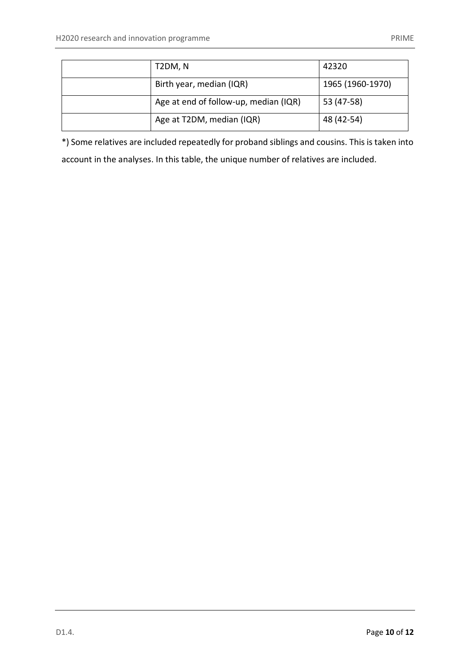| T2DM, N                               | 42320            |
|---------------------------------------|------------------|
| Birth year, median (IQR)              | 1965 (1960-1970) |
| Age at end of follow-up, median (IQR) | 53 (47-58)       |
| Age at T2DM, median (IQR)             | 48 (42-54)       |

<span id="page-9-0"></span>\*) Some relatives are included repeatedly for proband siblings and cousins. This is taken into account in the analyses. In this table, the unique number of relatives are included.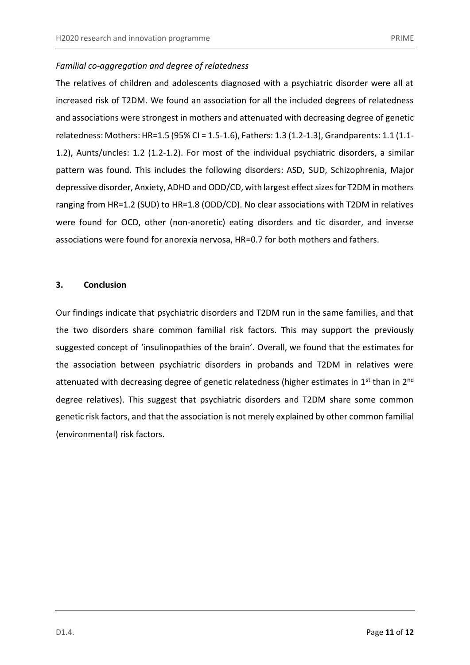## *Familial co-aggregation and degree of relatedness*

The relatives of children and adolescents diagnosed with a psychiatric disorder were all at increased risk of T2DM. We found an association for all the included degrees of relatedness and associations were strongest in mothers and attenuated with decreasing degree of genetic relatedness: Mothers: HR=1.5 (95% CI = 1.5-1.6), Fathers: 1.3 (1.2-1.3), Grandparents: 1.1 (1.1- 1.2), Aunts/uncles: 1.2 (1.2-1.2). For most of the individual psychiatric disorders, a similar pattern was found. This includes the following disorders: ASD, SUD, Schizophrenia, Major depressive disorder, Anxiety, ADHD and ODD/CD, with largest effect sizes for T2DM in mothers ranging from HR=1.2 (SUD) to HR=1.8 (ODD/CD). No clear associations with T2DM in relatives were found for OCD, other (non-anoretic) eating disorders and tic disorder, and inverse associations were found for anorexia nervosa, HR=0.7 for both mothers and fathers.

## <span id="page-10-0"></span>**3. Conclusion**

Our findings indicate that psychiatric disorders and T2DM run in the same families, and that the two disorders share common familial risk factors. This may support the previously suggested concept of 'insulinopathies of the brain'. Overall, we found that the estimates for the association between psychiatric disorders in probands and T2DM in relatives were attenuated with decreasing degree of genetic relatedness (higher estimates in 1<sup>st</sup> than in 2<sup>nd</sup> degree relatives). This suggest that psychiatric disorders and T2DM share some common genetic risk factors, and that the association is not merely explained by other common familial (environmental) risk factors.